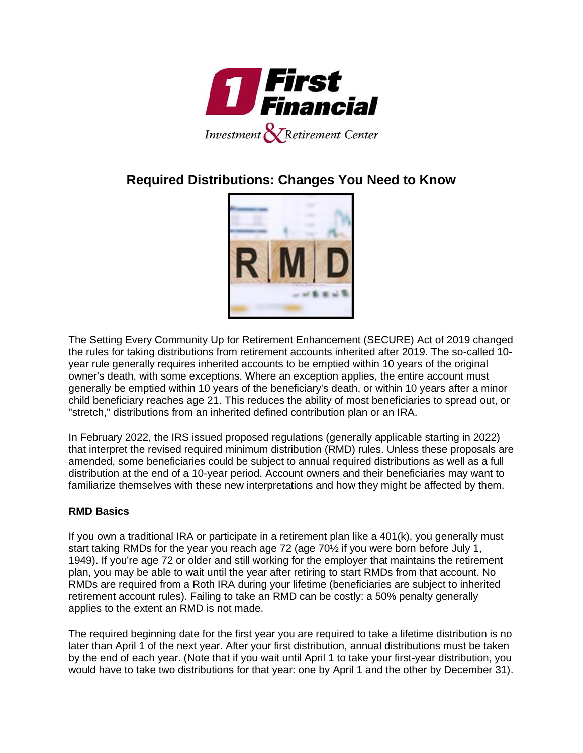

# **Required Distributions: Changes You Need to Know**



The Setting Every Community Up for Retirement Enhancement (SECURE) Act of 2019 changed the rules for taking distributions from retirement accounts inherited after 2019. The so-called 10 year rule generally requires inherited accounts to be emptied within 10 years of the original owner's death, with some exceptions. Where an exception applies, the entire account must generally be emptied within 10 years of the beneficiary's death, or within 10 years after a minor child beneficiary reaches age 21. This reduces the ability of most beneficiaries to spread out, or "stretch," distributions from an inherited defined contribution plan or an IRA.

In February 2022, the IRS issued proposed regulations (generally applicable starting in 2022) that interpret the revised required minimum distribution (RMD) rules. Unless these proposals are amended, some beneficiaries could be subject to annual required distributions as well as a full distribution at the end of a 10-year period. Account owners and their beneficiaries may want to familiarize themselves with these new interpretations and how they might be affected by them.

# **RMD Basics**

If you own a traditional IRA or participate in a retirement plan like a 401(k), you generally must start taking RMDs for the year you reach age 72 (age 70½ if you were born before July 1, 1949). If you're age 72 or older and still working for the employer that maintains the retirement plan, you may be able to wait until the year after retiring to start RMDs from that account. No RMDs are required from a Roth IRA during your lifetime (beneficiaries are subject to inherited retirement account rules). Failing to take an RMD can be costly: a 50% penalty generally applies to the extent an RMD is not made.

The required beginning date for the first year you are required to take a lifetime distribution is no later than April 1 of the next year. After your first distribution, annual distributions must be taken by the end of each year. (Note that if you wait until April 1 to take your first-year distribution, you would have to take two distributions for that year: one by April 1 and the other by December 31).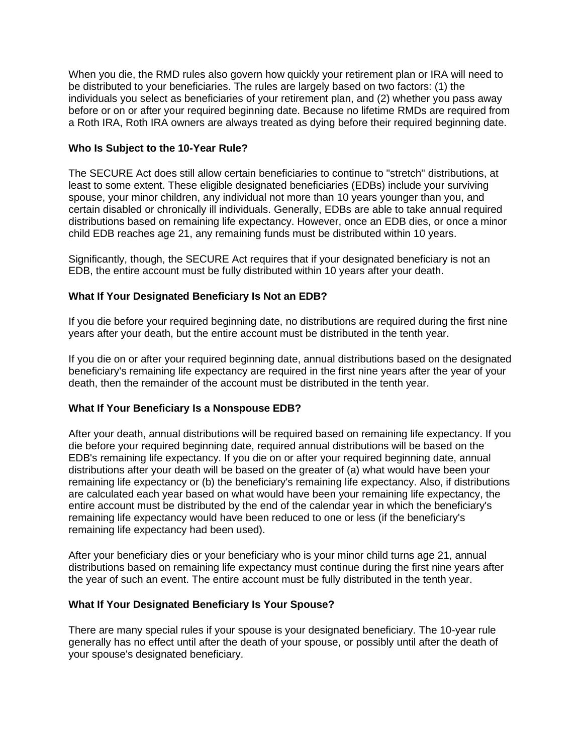When you die, the RMD rules also govern how quickly your retirement plan or IRA will need to be distributed to your beneficiaries. The rules are largely based on two factors: (1) the individuals you select as beneficiaries of your retirement plan, and (2) whether you pass away before or on or after your required beginning date. Because no lifetime RMDs are required from a Roth IRA, Roth IRA owners are always treated as dying before their required beginning date.

# **Who Is Subject to the 10-Year Rule?**

The SECURE Act does still allow certain beneficiaries to continue to "stretch" distributions, at least to some extent. These eligible designated beneficiaries (EDBs) include your surviving spouse, your minor children, any individual not more than 10 years younger than you, and certain disabled or chronically ill individuals. Generally, EDBs are able to take annual required distributions based on remaining life expectancy. However, once an EDB dies, or once a minor child EDB reaches age 21, any remaining funds must be distributed within 10 years.

Significantly, though, the SECURE Act requires that if your designated beneficiary is not an EDB, the entire account must be fully distributed within 10 years after your death.

# **What If Your Designated Beneficiary Is Not an EDB?**

If you die before your required beginning date, no distributions are required during the first nine years after your death, but the entire account must be distributed in the tenth year.

If you die on or after your required beginning date, annual distributions based on the designated beneficiary's remaining life expectancy are required in the first nine years after the year of your death, then the remainder of the account must be distributed in the tenth year.

# **What If Your Beneficiary Is a Nonspouse EDB?**

After your death, annual distributions will be required based on remaining life expectancy. If you die before your required beginning date, required annual distributions will be based on the EDB's remaining life expectancy. If you die on or after your required beginning date, annual distributions after your death will be based on the greater of (a) what would have been your remaining life expectancy or (b) the beneficiary's remaining life expectancy. Also, if distributions are calculated each year based on what would have been your remaining life expectancy, the entire account must be distributed by the end of the calendar year in which the beneficiary's remaining life expectancy would have been reduced to one or less (if the beneficiary's remaining life expectancy had been used).

After your beneficiary dies or your beneficiary who is your minor child turns age 21, annual distributions based on remaining life expectancy must continue during the first nine years after the year of such an event. The entire account must be fully distributed in the tenth year.

#### **What If Your Designated Beneficiary Is Your Spouse?**

There are many special rules if your spouse is your designated beneficiary. The 10-year rule generally has no effect until after the death of your spouse, or possibly until after the death of your spouse's designated beneficiary.